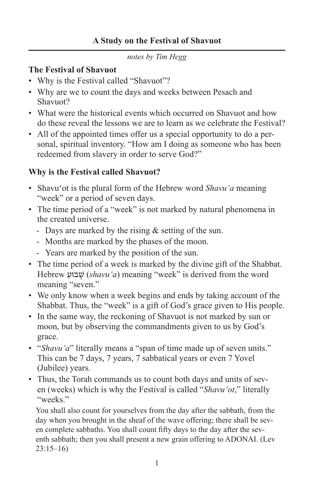*notes by Tim Hegg*

#### **The Festival of Shavuot**

- Why is the Festival called "Shavuot"?
- Why are we to count the days and weeks between Pesach and Shavuot?
- What were the historical events which occurred on Shavuot and how do these reveal the lessons we are to learn as we celebrate the Festival?
- All of the appointed times offer us a special opportunity to do a personal, spiritual inventory. "How am I doing as someone who has been redeemed from slavery in order to serve God?"

### **Why is the Festival called Shavuot?**

- Shavu'ot is the plural form of the Hebrew word *Shavu'a* meaning "week" or a period of seven days.
- The time period of a "week" is not marked by natural phenomena in the created universe.
	- Days are marked by the rising  $&$  setting of the sun.
	- Months are marked by the phases of the moon.
	- Years are marked by the position of the sun.
- The time period of a week is marked by the divine gift of the Shabbat. Hebrew ַבוּע ָשׁ) *shavu'a*) meaning "week" is derived from the word meaning "seven."
- We only know when a week begins and ends by taking account of the Shabbat. Thus, the "week" is a gift of God's grace given to His people.
- In the same way, the reckoning of Shavuot is not marked by sun or moon, but by observing the commandments given to us by God's grace.
- "*Shavu'a*" literally means a "span of time made up of seven units." This can be 7 days, 7 years, 7 sabbatical years or even 7 Yovel (Jubilee) years.
- Thus, the Torah commands us to count both days and units of seven (weeks) which is why the Festival is called "*Shavu'ot*," literally "weeks"

You shall also count for yourselves from the day after the sabbath, from the day when you brought in the sheaf of the wave offering; there shall be seven complete sabbaths. You shall count fifty days to the day after the seventh sabbath; then you shall present a new grain offering to ADONAI. (Lev 23:15–16)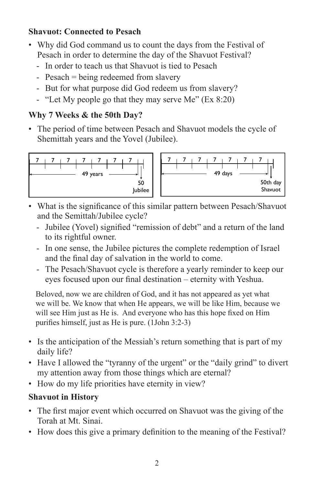# **Shavuot: Connected to Pesach**

- Why did God command us to count the days from the Festival of Pesach in order to determine the day of the Shavuot Festival?
	- In order to teach us that Shavuot is tied to Pesach
	- Pesach = being redeemed from slavery
	- But for what purpose did God redeem us from slavery?
	- "Let My people go that they may serve Me" (Ex 8:20)

### **Why 7 Weeks & the 50th Day?**

• The period of time between Pesach and Shavuot models the cycle of Shemittah years and the Yovel (Jubilee).



- What is the significance of this similar pattern between Pesach/Shavuot and the Semittah/Jubilee cycle?
	- Jubilee (Yovel) signified "remission of debt" and a return of the land to its rightful owner.
	- In one sense, the Jubilee pictures the complete redemption of Israel and the final day of salvation in the world to come.
	- The Pesach/Shavuot cycle is therefore a yearly reminder to keep our eyes focused upon our final destination – eternity with Yeshua.

Beloved, now we are children of God, and it has not appeared as yet what we will be. We know that when He appears, we will be like Him, because we will see Him just as He is. And everyone who has this hope fixed on Him purifies himself, just as He is pure. (1John 3:2-3)

- Is the anticipation of the Messiah's return something that is part of my daily life?
- Have I allowed the "tyranny of the urgent" or the "daily grind" to divert my attention away from those things which are eternal?
- How do my life priorities have eternity in view?

# **Shavuot in History**

- The first major event which occurred on Shavuot was the giving of the Torah at Mt. Sinai.
- How does this give a primary definition to the meaning of the Festival?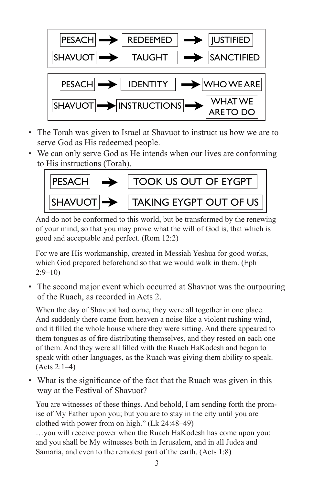

- The Torah was given to Israel at Shavuot to instruct us how we are to serve God as His redeemed people.
- We can only serve God as He intends when our lives are conforming to His instructions (Torah).



And do not be conformed to this world, but be transformed by the renewing of your mind, so that you may prove what the will of God is, that which is good and acceptable and perfect. (Rom 12:2)

For we are His workmanship, created in Messiah Yeshua for good works, which God prepared beforehand so that we would walk in them. (Eph 2:9–10)

• The second major event which occurred at Shavuot was the outpouring of the Ruach, as recorded in Acts 2.

When the day of Shavuot had come, they were all together in one place. And suddenly there came from heaven a noise like a violent rushing wind, and it filled the whole house where they were sitting. And there appeared to them tongues as of fire distributing themselves, and they rested on each one of them. And they were all filled with the Ruach HaKodesh and began to speak with other languages, as the Ruach was giving them ability to speak. (Acts 2:1–4)

• What is the significance of the fact that the Ruach was given in this way at the Festival of Shavuot?

You are witnesses of these things. And behold, I am sending forth the promise of My Father upon you; but you are to stay in the city until you are clothed with power from on high." (Lk 24:48–49)

…you will receive power when the Ruach HaKodesh has come upon you; and you shall be My witnesses both in Jerusalem, and in all Judea and Samaria, and even to the remotest part of the earth. (Acts 1:8)